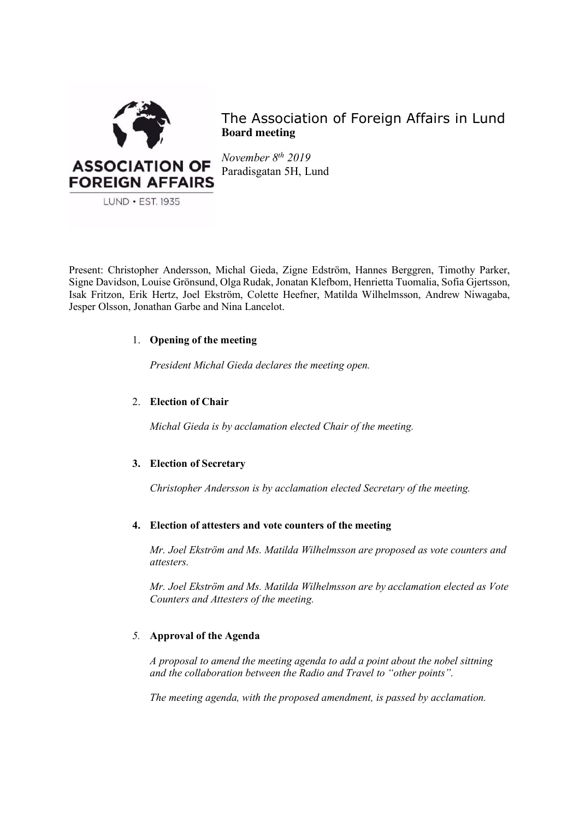

The Association of Foreign Affairs in Lund **Board meeting**

*November 8th 2019* Paradisgatan 5H, Lund

Present: Christopher Andersson, Michal Gieda, Zigne Edström, Hannes Berggren, Timothy Parker, Signe Davidson, Louise Grönsund, Olga Rudak, Jonatan Klefbom, Henrietta Tuomalia, Sofia Gjertsson, Isak Fritzon, Erik Hertz, Joel Ekström, Colette Heefner, Matilda Wilhelmsson, Andrew Niwagaba, Jesper Olsson, Jonathan Garbe and Nina Lancelot.

# 1. **Opening of the meeting**

*President Michal Gieda declares the meeting open.*

# 2. **Election of Chair**

*Michal Gieda is by acclamation elected Chair of the meeting.*

# **3. Election of Secretary**

*Christopher Andersson is by acclamation elected Secretary of the meeting.*

# **4. Election of attesters and vote counters of the meeting**

*Mr. Joel Ekström and Ms. Matilda Wilhelmsson are proposed as vote counters and attesters.* 

*Mr. Joel Ekström and Ms. Matilda Wilhelmsson are by acclamation elected as Vote Counters and Attesters of the meeting.*

# *5.* **Approval of the Agenda**

*A proposal to amend the meeting agenda to add a point about the nobel sittning and the collaboration between the Radio and Travel to "other points".* 

*The meeting agenda, with the proposed amendment, is passed by acclamation.*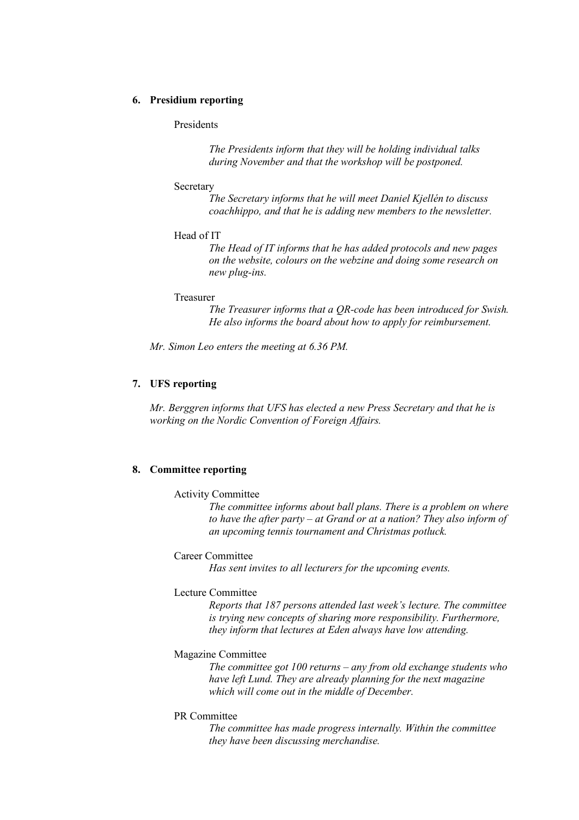### **6. Presidium reporting**

### Presidents

*The Presidents inform that they will be holding individual talks during November and that the workshop will be postponed.* 

#### **Secretary**

*The Secretary informs that he will meet Daniel Kjellén to discuss coachhippo, and that he is adding new members to the newsletter.* 

#### Head of IT

*The Head of IT informs that he has added protocols and new pages on the website, colours on the webzine and doing some research on new plug-ins.* 

#### Treasurer

*The Treasurer informs that a QR-code has been introduced for Swish. He also informs the board about how to apply for reimbursement.* 

*Mr. Simon Leo enters the meeting at 6.36 PM.* 

# **7. UFS reporting**

*Mr. Berggren informs that UFS has elected a new Press Secretary and that he is working on the Nordic Convention of Foreign Affairs.* 

#### **8. Committee reporting**

### Activity Committee

*The committee informs about ball plans. There is a problem on where to have the after party – at Grand or at a nation? They also inform of an upcoming tennis tournament and Christmas potluck.* 

### Career Committee

*Has sent invites to all lecturers for the upcoming events.* 

#### Lecture Committee

*Reports that 187 persons attended last week's lecture. The committee is trying new concepts of sharing more responsibility. Furthermore, they inform that lectures at Eden always have low attending.* 

## Magazine Committee

*The committee got 100 returns – any from old exchange students who have left Lund. They are already planning for the next magazine which will come out in the middle of December.* 

#### PR Committee

*The committee has made progress internally. Within the committee they have been discussing merchandise.*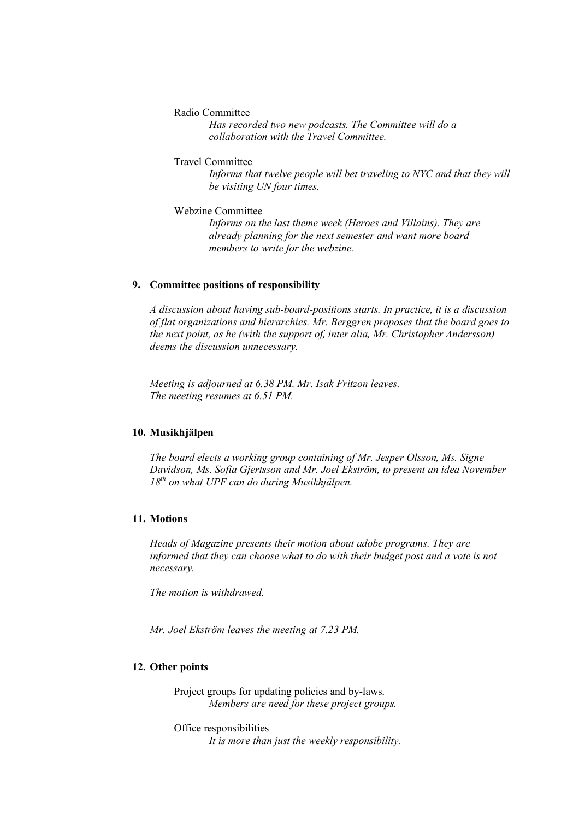Radio Committee

*Has recorded two new podcasts. The Committee will do a collaboration with the Travel Committee.* 

#### Travel Committee

*Informs that twelve people will bet traveling to NYC and that they will be visiting UN four times.* 

Webzine Committee

*Informs on the last theme week (Heroes and Villains). They are already planning for the next semester and want more board members to write for the webzine.* 

# **9. Committee positions of responsibility**

*A discussion about having sub-board-positions starts. In practice, it is a discussion of flat organizations and hierarchies. Mr. Berggren proposes that the board goes to the next point, as he (with the support of, inter alia, Mr. Christopher Andersson) deems the discussion unnecessary.* 

*Meeting is adjourned at 6.38 PM. Mr. Isak Fritzon leaves. The meeting resumes at 6.51 PM.* 

# **10. Musikhjälpen**

*The board elects a working group containing of Mr. Jesper Olsson, Ms. Signe Davidson, Ms. Sofia Gjertsson and Mr. Joel Ekström, to present an idea November 18th on what UPF can do during Musikhjälpen.* 

# **11. Motions**

*Heads of Magazine presents their motion about adobe programs. They are informed that they can choose what to do with their budget post and a vote is not necessary.*

*The motion is withdrawed.* 

*Mr. Joel Ekström leaves the meeting at 7.23 PM.*

# **12. Other points**

Project groups for updating policies and by-laws. *Members are need for these project groups.* 

Office responsibilities *It is more than just the weekly responsibility.*